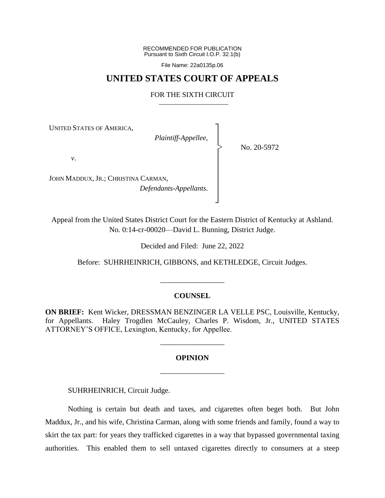RECOMMENDED FOR PUBLICATION Pursuant to Sixth Circuit I.O.P. 32.1(b)

File Name: 22a0135p.06

# **UNITED STATES COURT OF APPEALS**

## FOR THE SIXTH CIRCUIT

┐ │ │ │ │ │ │ │ │ ┘

|<br>|<br>|

UNITED STATES OF AMERICA,

*Plaintiff-Appellee*,

No. 20-5972

*v*.

JOHN MADDUX, JR.; CHRISTINA CARMAN, *Defendants-Appellants*.

Appeal from the United States District Court for the Eastern District of Kentucky at Ashland. No. 0:14-cr-00020—David L. Bunning, District Judge.

Decided and Filed: June 22, 2022

Before: SUHRHEINRICH, GIBBONS, and KETHLEDGE, Circuit Judges.

# **COUNSEL**

\_\_\_\_\_\_\_\_\_\_\_\_\_\_\_\_\_

**ON BRIEF:** Kent Wicker, DRESSMAN BENZINGER LA VELLE PSC, Louisville, Kentucky, for Appellants. Haley Trogdlen McCauley, Charles P. Wisdom, Jr., UNITED STATES ATTORNEY'S OFFICE, Lexington, Kentucky, for Appellee.

#### **OPINION**

\_\_\_\_\_\_\_\_\_\_\_\_\_\_\_\_\_

\_\_\_\_\_\_\_\_\_\_\_\_\_\_\_\_\_

SUHRHEINRICH, Circuit Judge.

Nothing is certain but death and taxes, and cigarettes often beget both. But John Maddux, Jr., and his wife, Christina Carman, along with some friends and family, found a way to skirt the tax part: for years they trafficked cigarettes in a way that bypassed governmental taxing authorities. This enabled them to sell untaxed cigarettes directly to consumers at a steep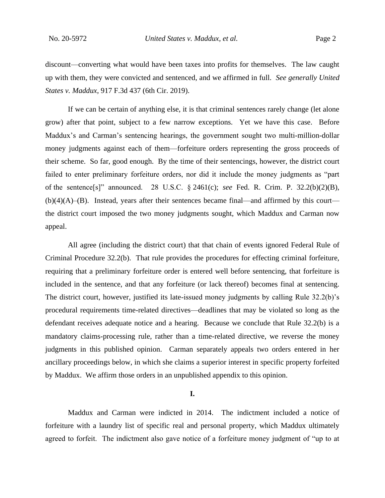discount—converting what would have been taxes into profits for themselves. The law caught up with them, they were convicted and sentenced, and we affirmed in full. *See generally United States v. Maddux*, 917 F.3d 437 (6th Cir. 2019).

If we can be certain of anything else, it is that criminal sentences rarely change (let alone grow) after that point, subject to a few narrow exceptions. Yet we have this case. Before Maddux's and Carman's sentencing hearings, the government sought two multi-million-dollar money judgments against each of them—forfeiture orders representing the gross proceeds of their scheme. So far, good enough. By the time of their sentencings, however, the district court failed to enter preliminary forfeiture orders, nor did it include the money judgments as "part of the sentence[s]" announced. 28 U.S.C. § 2461(c); *see* Fed. R. Crim. P. 32.2(b)(2)(B),  $(b)(4)(A)$ –(B). Instead, years after their sentences became final—and affirmed by this court the district court imposed the two money judgments sought, which Maddux and Carman now appeal.

All agree (including the district court) that that chain of events ignored Federal Rule of Criminal Procedure 32.2(b). That rule provides the procedures for effecting criminal forfeiture, requiring that a preliminary forfeiture order is entered well before sentencing, that forfeiture is included in the sentence, and that any forfeiture (or lack thereof) becomes final at sentencing. The district court, however, justified its late-issued money judgments by calling Rule 32.2(b)'s procedural requirements time-related directives—deadlines that may be violated so long as the defendant receives adequate notice and a hearing. Because we conclude that Rule 32.2(b) is a mandatory claims-processing rule, rather than a time-related directive, we reverse the money judgments in this published opinion. Carman separately appeals two orders entered in her ancillary proceedings below, in which she claims a superior interest in specific property forfeited by Maddux. We affirm those orders in an unpublished appendix to this opinion.

# **I.**

Maddux and Carman were indicted in 2014. The indictment included a notice of forfeiture with a laundry list of specific real and personal property, which Maddux ultimately agreed to forfeit. The indictment also gave notice of a forfeiture money judgment of "up to at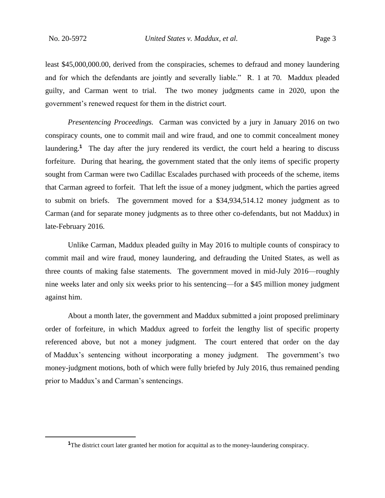least \$45,000,000.00, derived from the conspiracies, schemes to defraud and money laundering and for which the defendants are jointly and severally liable." R. 1 at 70. Maddux pleaded guilty, and Carman went to trial. The two money judgments came in 2020, upon the government's renewed request for them in the district court.

*Presentencing Proceedings.* Carman was convicted by a jury in January 2016 on two conspiracy counts, one to commit mail and wire fraud, and one to commit concealment money laundering.<sup>1</sup> The day after the jury rendered its verdict, the court held a hearing to discuss forfeiture. During that hearing, the government stated that the only items of specific property sought from Carman were two Cadillac Escalades purchased with proceeds of the scheme, items that Carman agreed to forfeit. That left the issue of a money judgment, which the parties agreed to submit on briefs. The government moved for a \$34,934,514.12 money judgment as to Carman (and for separate money judgments as to three other co-defendants, but not Maddux) in late-February 2016.

Unlike Carman, Maddux pleaded guilty in May 2016 to multiple counts of conspiracy to commit mail and wire fraud, money laundering, and defrauding the United States, as well as three counts of making false statements. The government moved in mid-July 2016—roughly nine weeks later and only six weeks prior to his sentencing—for a \$45 million money judgment against him.

About a month later, the government and Maddux submitted a joint proposed preliminary order of forfeiture, in which Maddux agreed to forfeit the lengthy list of specific property referenced above, but not a money judgment. The court entered that order on the day of Maddux's sentencing without incorporating a money judgment. The government's two money-judgment motions, both of which were fully briefed by July 2016, thus remained pending prior to Maddux's and Carman's sentencings.

<sup>&</sup>lt;sup>1</sup>The district court later granted her motion for acquittal as to the money-laundering conspiracy.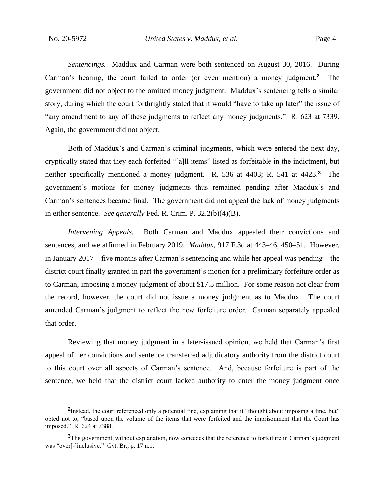*Sentencings.* Maddux and Carman were both sentenced on August 30, 2016. During Carman's hearing, the court failed to order (or even mention) a money judgment.**<sup>2</sup>** The government did not object to the omitted money judgment. Maddux's sentencing tells a similar story, during which the court forthrightly stated that it would "have to take up later" the issue of "any amendment to any of these judgments to reflect any money judgments." R. 623 at 7339. Again, the government did not object.

Both of Maddux's and Carman's criminal judgments, which were entered the next day, cryptically stated that they each forfeited "[a]ll items" listed as forfeitable in the indictment, but neither specifically mentioned a money judgment. R. 536 at 4403; R. 541 at 4423. **3** The government's motions for money judgments thus remained pending after Maddux's and Carman's sentences became final. The government did not appeal the lack of money judgments in either sentence. *See generally* Fed. R. Crim. P. 32.2(b)(4)(B).

*Intervening Appeals.* Both Carman and Maddux appealed their convictions and sentences, and we affirmed in February 2019. *Maddux*, 917 F.3d at 443–46, 450–51. However, in January 2017—five months after Carman's sentencing and while her appeal was pending—the district court finally granted in part the government's motion for a preliminary forfeiture order as to Carman, imposing a money judgment of about \$17.5 million. For some reason not clear from the record, however, the court did not issue a money judgment as to Maddux. The court amended Carman's judgment to reflect the new forfeiture order. Carman separately appealed that order.

Reviewing that money judgment in a later-issued opinion, we held that Carman's first appeal of her convictions and sentence transferred adjudicatory authority from the district court to this court over all aspects of Carman's sentence. And, because forfeiture is part of the sentence, we held that the district court lacked authority to enter the money judgment once

<sup>&</sup>lt;sup>2</sup>Instead, the court referenced only a potential fine, explaining that it "thought about imposing a fine, but" opted not to, "based upon the volume of the items that were forfeited and the imprisonment that the Court has imposed." R. 624 at 7388.

<sup>&</sup>lt;sup>3</sup>The government, without explanation, now concedes that the reference to forfeiture in Carman's judgment was "over[-]inclusive." Gvt. Br., p. 17 n.1.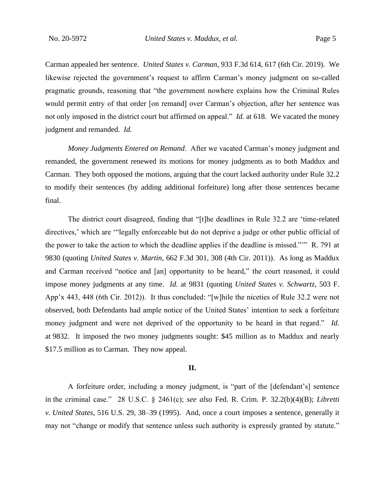Carman appealed her sentence. *United States v. Carman*, 933 F.3d 614, 617 (6th Cir. 2019). We likewise rejected the government's request to affirm Carman's money judgment on so-called pragmatic grounds, reasoning that "the government nowhere explains how the Criminal Rules would permit entry of that order [on remand] over Carman's objection, after her sentence was not only imposed in the district court but affirmed on appeal." *Id.* at 618. We vacated the money judgment and remanded. *Id.*

*Money Judgments Entered on Remand*. After we vacated Carman's money judgment and remanded, the government renewed its motions for money judgments as to both Maddux and Carman. They both opposed the motions, arguing that the court lacked authority under Rule 32.2 to modify their sentences (by adding additional forfeiture) long after those sentences became final.

The district court disagreed, finding that "[t]he deadlines in Rule 32.2 are 'time-related directives,' which are '"legally enforceable but do not deprive a judge or other public official of the power to take the action to which the deadline applies if the deadline is missed."'" R. 791 at 9830 (quoting *United States v. Martin*, 662 F.3d 301, 308 (4th Cir. 2011)). As long as Maddux and Carman received "notice and [an] opportunity to be heard," the court reasoned, it could impose money judgments at any time. *Id.* at 9831 (quoting *United States v. Schwartz*, 503 F. App'x 443, 448 (6th Cir. 2012)). It thus concluded: "[w]hile the niceties of Rule 32.2 were not observed, both Defendants had ample notice of the United States' intention to seek a forfeiture money judgment and were not deprived of the opportunity to be heard in that regard." *Id.*  at 9832. It imposed the two money judgments sought: \$45 million as to Maddux and nearly \$17.5 million as to Carman. They now appeal.

#### **II.**

A forfeiture order, including a money judgment, is "part of the [defendant's] sentence in the criminal case." 28 U.S.C. § 2461(c); *see also* Fed. R. Crim. P. 32.2(b)(4)(B); *Libretti v. United States*, 516 U.S. 29, 38–39 (1995). And, once a court imposes a sentence, generally it may not "change or modify that sentence unless such authority is expressly granted by statute."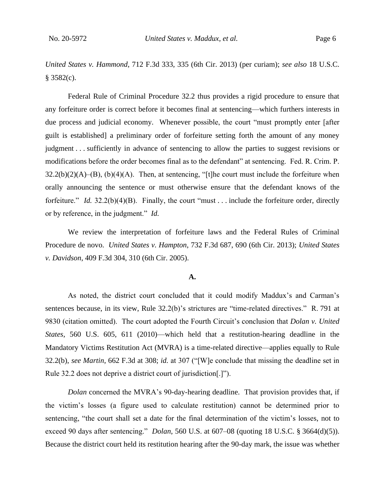*United States v. Hammond*, 712 F.3d 333, 335 (6th Cir. 2013) (per curiam); *see also* 18 U.S.C.  $§$  3582(c).

Federal Rule of Criminal Procedure 32.2 thus provides a rigid procedure to ensure that any forfeiture order is correct before it becomes final at sentencing—which furthers interests in due process and judicial economy. Whenever possible, the court "must promptly enter [after guilt is established] a preliminary order of forfeiture setting forth the amount of any money judgment . . . sufficiently in advance of sentencing to allow the parties to suggest revisions or modifications before the order becomes final as to the defendant" at sentencing. Fed. R. Crim. P.  $32.2(b)(2)(A)$ –(B), (b)(4)(A). Then, at sentencing, "[t]he court must include the forfeiture when orally announcing the sentence or must otherwise ensure that the defendant knows of the forfeiture." *Id.* 32.2(b)(4)(B). Finally, the court "must . . . include the forfeiture order, directly or by reference, in the judgment." *Id.*

We review the interpretation of forfeiture laws and the Federal Rules of Criminal Procedure de novo. *United States v. Hampton*, 732 F.3d 687, 690 (6th Cir. 2013); *United States v. Davidson*, 409 F.3d 304, 310 (6th Cir. 2005).

### **A.**

As noted, the district court concluded that it could modify Maddux's and Carman's sentences because, in its view, Rule 32.2(b)'s strictures are "time-related directives." R. 791 at 9830 (citation omitted). The court adopted the Fourth Circuit's conclusion that *Dolan v. United States*, 560 U.S. 605, 611 (2010)—which held that a restitution-hearing deadline in the Mandatory Victims Restitution Act (MVRA) is a time-related directive—applies equally to Rule 32.2(b), *see Martin*, 662 F.3d at 308; *id.* at 307 ("[W]e conclude that missing the deadline set in Rule 32.2 does not deprive a district court of jurisdiction[.]").

*Dolan* concerned the MVRA's 90-day-hearing deadline. That provision provides that, if the victim's losses (a figure used to calculate restitution) cannot be determined prior to sentencing, "the court shall set a date for the final determination of the victim's losses, not to exceed 90 days after sentencing." *Dolan*, 560 U.S. at 607–08 (quoting 18 U.S.C. § 3664(d)(5)). Because the district court held its restitution hearing after the 90-day mark, the issue was whether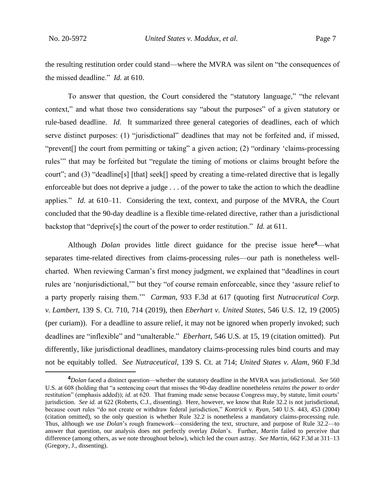the resulting restitution order could stand—where the MVRA was silent on "the consequences of the missed deadline." *Id.* at 610.

To answer that question, the Court considered the "statutory language," "the relevant context," and what those two considerations say "about the purposes" of a given statutory or rule-based deadline. *Id.* It summarized three general categories of deadlines, each of which serve distinct purposes: (1) "jurisdictional" deadlines that may not be forfeited and, if missed, "prevent[] the court from permitting or taking" a given action; (2) "ordinary 'claims-processing rules'" that may be forfeited but "regulate the timing of motions or claims brought before the court"; and (3) "deadline[s] [that] seek[] speed by creating a time-related directive that is legally enforceable but does not deprive a judge . . . of the power to take the action to which the deadline applies." *Id.* at 610–11. Considering the text, context, and purpose of the MVRA, the Court concluded that the 90-day deadline is a flexible time-related directive, rather than a jurisdictional backstop that "deprive[s] the court of the power to order restitution." *Id.* at 611.

Although *Dolan* provides little direct guidance for the precise issue here**<sup>4</sup>**—what separates time-related directives from claims-processing rules—our path is nonetheless wellcharted. When reviewing Carman's first money judgment, we explained that "deadlines in court rules are 'nonjurisdictional,'" but they "of course remain enforceable, since they 'assure relief to a party properly raising them.'" *Carman*, 933 F.3d at 617 (quoting first *Nutraceutical Corp. v. Lambert*, 139 S. Ct. 710, 714 (2019), then *Eberhart v. United States*, 546 U.S. 12, 19 (2005) (per curiam)). For a deadline to assure relief, it may not be ignored when properly invoked; such deadlines are "inflexible" and "unalterable." *Eberhart*, 546 U.S. at 15, 19 (citation omitted). Put differently, like jurisdictional deadlines, mandatory claims-processing rules bind courts and may not be equitably tolled. *See Nutraceutical*, 139 S. Ct. at 714; *United States v. Alam*, 960 F.3d

**<sup>4</sup>***Dolan* faced a distinct question—whether the statutory deadline in the MVRA was jurisdictional. *See* 560 U.S. at 608 (holding that "a sentencing court that misses the 90-day deadline nonetheless *retains the power to order* restitution" (emphasis added)); *id.* at 620. That framing made sense because Congress may, by statute, limit courts' jurisdiction. *See id.* at 622 (Roberts, C.J., dissenting). Here, however, we know that Rule 32.2 is not jurisdictional, because court rules "do not create or withdraw federal jurisdiction," *Kontrick v. Ryan*, 540 U.S. 443, 453 (2004) (citation omitted), so the only question is whether Rule 32.2 is nonetheless a mandatory claims-processing rule. Thus, although we use *Dolan*'s rough framework—considering the text, structure, and purpose of Rule 32.2—to answer that question, our analysis does not perfectly overlay *Dolan*'s. Further, *Martin* failed to perceive that difference (among others, as we note throughout below), which led the court astray. *See Martin*, 662 F.3d at 311–13 (Gregory, J., dissenting).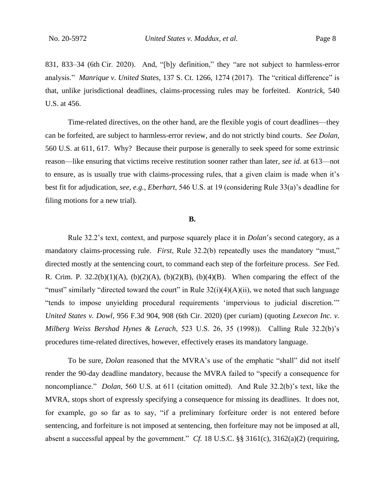831, 833–34 (6th Cir. 2020). And, "[b]y definition," they "are not subject to harmless-error analysis." *Manrique v. United States*, 137 S. Ct. 1266, 1274 (2017). The "critical difference" is that, unlike jurisdictional deadlines, claims-processing rules may be forfeited. *Kontrick*, 540 U.S. at 456.

Time-related directives, on the other hand, are the flexible yogis of court deadlines—they can be forfeited, are subject to harmless-error review, and do not strictly bind courts. *See Dolan*, 560 U.S. at 611, 617. Why? Because their purpose is generally to seek speed for some extrinsic reason—like ensuring that victims receive restitution sooner rather than later, *see id.* at 613—not to ensure, as is usually true with claims-processing rules, that a given claim is made when it's best fit for adjudication, *see, e.g.*, *Eberhart*, 546 U.S. at 19 (considering Rule 33(a)'s deadline for filing motions for a new trial).

#### **B.**

Rule 32.2's text, context, and purpose squarely place it in *Dolan*'s second category, as a mandatory claims-processing rule. *First*, Rule 32.2(b) repeatedly uses the mandatory "must," directed mostly at the sentencing court, to command each step of the forfeiture process. *See* Fed. R. Crim. P.  $32.2(b)(1)(A)$ ,  $(b)(2)(A)$ ,  $(b)(2)(B)$ ,  $(b)(4)(B)$ . When comparing the effect of the "must" similarly "directed toward the court" in Rule  $32(i)(4)(A)(ii)$ , we noted that such language "tends to impose unyielding procedural requirements 'impervious to judicial discretion.'" *United States v. Dowl*, 956 F.3d 904, 908 (6th Cir. 2020) (per curiam) (quoting *Lexecon Inc. v. Milberg Weiss Bershad Hynes & Lerach*, 523 U.S. 26, 35 (1998)). Calling Rule 32.2(b)'s procedures time-related directives, however, effectively erases its mandatory language.

To be sure, *Dolan* reasoned that the MVRA's use of the emphatic "shall" did not itself render the 90-day deadline mandatory, because the MVRA failed to "specify a consequence for noncompliance." *Dolan*, 560 U.S. at 611 (citation omitted). And Rule 32.2(b)'s text, like the MVRA, stops short of expressly specifying a consequence for missing its deadlines. It does not, for example, go so far as to say, "if a preliminary forfeiture order is not entered before sentencing, and forfeiture is not imposed at sentencing, then forfeiture may not be imposed at all, absent a successful appeal by the government." *Cf.* 18 U.S.C. §§ 3161(c), 3162(a)(2) (requiring,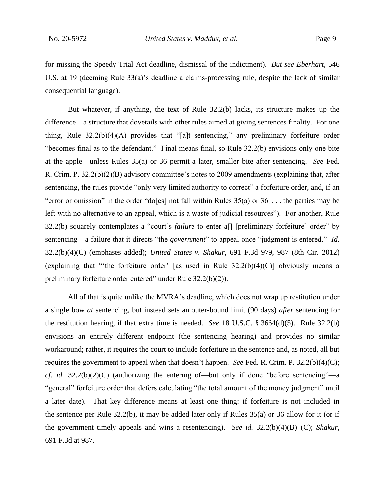for missing the Speedy Trial Act deadline, dismissal of the indictment). *But see Eberhart*, 546 U.S. at 19 (deeming Rule 33(a)'s deadline a claims-processing rule, despite the lack of similar consequential language).

But whatever, if anything, the text of Rule 32.2(b) lacks, its structure makes up the difference—a structure that dovetails with other rules aimed at giving sentences finality. For one thing, Rule 32.2(b)(4)(A) provides that "[a]t sentencing," any preliminary forfeiture order "becomes final as to the defendant." Final means final, so Rule 32.2(b) envisions only one bite at the apple—unless Rules 35(a) or 36 permit a later, smaller bite after sentencing. *See* Fed. R. Crim. P. 32.2(b)(2)(B) advisory committee's notes to 2009 amendments (explaining that, after sentencing, the rules provide "only very limited authority to correct" a forfeiture order, and, if an "error or omission" in the order "do[es] not fall within Rules  $35(a)$  or  $36, \ldots$  the parties may be left with no alternative to an appeal, which is a waste of judicial resources"). For another, Rule 32.2(b) squarely contemplates a "court's *failure* to enter a[] [preliminary forfeiture] order" by sentencing—a failure that it directs "the *government*" to appeal once "judgment is entered." *Id.* 32.2(b)(4)(C) (emphases added); *United States v. Shakur*, 691 F.3d 979, 987 (8th Cir. 2012) (explaining that "the forfeiture order' [as used in Rule  $32.2(b)(4)(C)$ ] obviously means a preliminary forfeiture order entered" under Rule 32.2(b)(2)).

All of that is quite unlike the MVRA's deadline, which does not wrap up restitution under a single bow *at* sentencing, but instead sets an outer-bound limit (90 days) *after* sentencing for the restitution hearing, if that extra time is needed. *See* 18 U.S.C. § 3664(d)(5). Rule 32.2(b) envisions an entirely different endpoint (the sentencing hearing) and provides no similar workaround; rather, it requires the court to include forfeiture in the sentence and, as noted, all but requires the government to appeal when that doesn't happen. *See* Fed. R. Crim. P. 32.2(b)(4)(C); *cf. id.* 32.2(b)(2)(C) (authorizing the entering of—but only if done "before sentencing"—a "general" forfeiture order that defers calculating "the total amount of the money judgment" until a later date). That key difference means at least one thing: if forfeiture is not included in the sentence per Rule  $32.2(b)$ , it may be added later only if Rules  $35(a)$  or 36 allow for it (or if the government timely appeals and wins a resentencing). *See id.* 32.2(b)(4)(B)–(C); *Shakur*, 691 F.3d at 987.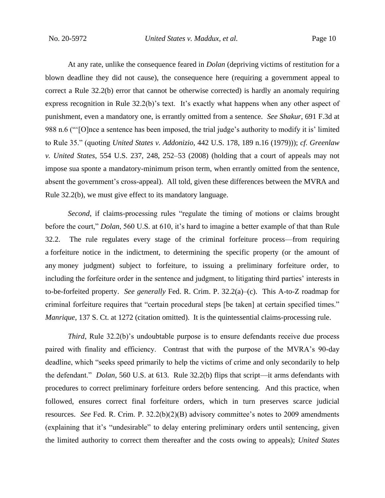At any rate, unlike the consequence feared in *Dolan* (depriving victims of restitution for a blown deadline they did not cause), the consequence here (requiring a government appeal to correct a Rule 32.2(b) error that cannot be otherwise corrected) is hardly an anomaly requiring express recognition in Rule 32.2(b)'s text. It's exactly what happens when any other aspect of punishment, even a mandatory one, is errantly omitted from a sentence. *See Shakur*, 691 F.3d at 988 n.6 ("'[O]nce a sentence has been imposed, the trial judge's authority to modify it is' limited to Rule 35." (quoting *United States v. Addonizio*, 442 U.S. 178, 189 n.16 (1979))); *cf. Greenlaw v. United States*, 554 U.S. 237, 248, 252–53 (2008) (holding that a court of appeals may not impose sua sponte a mandatory-minimum prison term, when errantly omitted from the sentence, absent the government's cross-appeal). All told, given these differences between the MVRA and Rule 32.2(b), we must give effect to its mandatory language.

*Second*, if claims-processing rules "regulate the timing of motions or claims brought before the court," *Dolan*, 560 U.S. at 610, it's hard to imagine a better example of that than Rule 32.2. The rule regulates every stage of the criminal forfeiture process—from requiring a forfeiture notice in the indictment, to determining the specific property (or the amount of any money judgment) subject to forfeiture, to issuing a preliminary forfeiture order, to including the forfeiture order in the sentence and judgment, to litigating third parties' interests in to-be-forfeited property. *See generally* Fed. R. Crim. P. 32.2(a)–(c). This A-to-Z roadmap for criminal forfeiture requires that "certain procedural steps [be taken] at certain specified times." *Manrique*, 137 S. Ct. at 1272 (citation omitted). It is the quintessential claims-processing rule.

*Third*, Rule 32.2(b)'s undoubtable purpose is to ensure defendants receive due process paired with finality and efficiency. Contrast that with the purpose of the MVRA's 90-day deadline, which "seeks speed primarily to help the victims of crime and only secondarily to help the defendant." *Dolan*, 560 U.S. at 613. Rule 32.2(b) flips that script—it arms defendants with procedures to correct preliminary forfeiture orders before sentencing. And this practice, when followed, ensures correct final forfeiture orders, which in turn preserves scarce judicial resources. *See* Fed. R. Crim. P. 32.2(b)(2)(B) advisory committee's notes to 2009 amendments (explaining that it's "undesirable" to delay entering preliminary orders until sentencing, given the limited authority to correct them thereafter and the costs owing to appeals); *United States*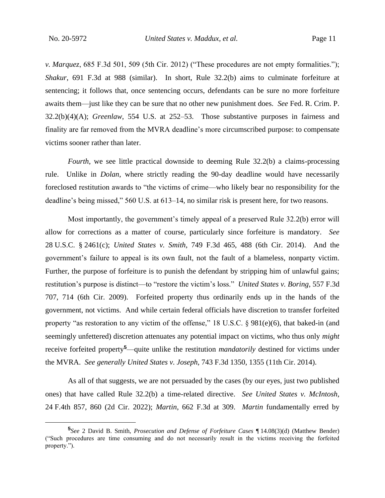*v. Marquez*, 685 F.3d 501, 509 (5th Cir. 2012) ("These procedures are not empty formalities."); *Shakur*, 691 F.3d at 988 (similar). In short, Rule 32.2(b) aims to culminate forfeiture at sentencing; it follows that, once sentencing occurs, defendants can be sure no more forfeiture awaits them—just like they can be sure that no other new punishment does. *See* Fed. R. Crim. P. 32.2(b)(4)(A); *Greenlaw*, 554 U.S. at 252–53. Those substantive purposes in fairness and finality are far removed from the MVRA deadline's more circumscribed purpose: to compensate victims sooner rather than later.

*Fourth*, we see little practical downside to deeming Rule 32.2(b) a claims-processing rule. Unlike in *Dolan*, where strictly reading the 90-day deadline would have necessarily foreclosed restitution awards to "the victims of crime—who likely bear no responsibility for the deadline's being missed," 560 U.S. at 613–14, no similar risk is present here, for two reasons.

Most importantly, the government's timely appeal of a preserved Rule 32.2(b) error will allow for corrections as a matter of course, particularly since forfeiture is mandatory. *See*  28 U.S.C. § 2461(c); *United States v. Smith*, 749 F.3d 465, 488 (6th Cir. 2014). And the government's failure to appeal is its own fault, not the fault of a blameless, nonparty victim. Further, the purpose of forfeiture is to punish the defendant by stripping him of unlawful gains; restitution's purpose is distinct—to "restore the victim's loss." *United States v. Boring*, 557 F.3d 707, 714 (6th Cir. 2009). Forfeited property thus ordinarily ends up in the hands of the government, not victims. And while certain federal officials have discretion to transfer forfeited property "as restoration to any victim of the offense," 18 U.S.C. § 981(e)(6), that baked-in (and seemingly unfettered) discretion attenuates any potential impact on victims, who thus only *might*  receive forfeited property**<sup>5</sup>**—quite unlike the restitution *mandatorily* destined for victims under the MVRA. *See generally United States v. Joseph*, 743 F.3d 1350, 1355 (11th Cir. 2014).

As all of that suggests, we are not persuaded by the cases (by our eyes, just two published ones) that have called Rule 32.2(b) a time-related directive. *See United States v. McIntosh*, 24 F.4th 857, 860 (2d Cir. 2022); *Martin*, 662 F.3d at 309. *Martin* fundamentally erred by

**<sup>5</sup>** *See* 2 David B. Smith, *Prosecution and Defense of Forfeiture Cases* ¶ 14.08(3)(d) (Matthew Bender) ("Such procedures are time consuming and do not necessarily result in the victims receiving the forfeited property.").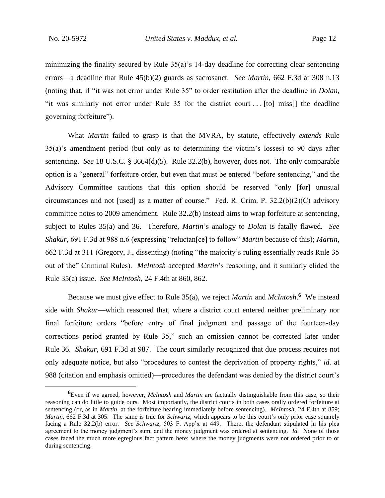minimizing the finality secured by Rule  $35(a)$ 's 14-day deadline for correcting clear sentencing errors—a deadline that Rule 45(b)(2) guards as sacrosanct. *See Martin*, 662 F.3d at 308 n.13 (noting that, if "it was not error under Rule 35" to order restitution after the deadline in *Dolan*, "it was similarly not error under Rule 35 for the district court . . . [to] miss[] the deadline governing forfeiture").

What *Martin* failed to grasp is that the MVRA, by statute, effectively *extends* Rule 35(a)'s amendment period (but only as to determining the victim's losses) to 90 days after sentencing. *See* 18 U.S.C. § 3664(d)(5). Rule 32.2(b), however, does not. The only comparable option is a "general" forfeiture order, but even that must be entered "before sentencing," and the Advisory Committee cautions that this option should be reserved "only [for] unusual circumstances and not [used] as a matter of course." Fed. R. Crim. P. 32.2(b)(2)(C) advisory committee notes to 2009 amendment. Rule 32.2(b) instead aims to wrap forfeiture at sentencing, subject to Rules 35(a) and 36. Therefore, *Martin*'s analogy to *Dolan* is fatally flawed. *See Shakur*, 691 F.3d at 988 n.6 (expressing "reluctan[ce] to follow" *Martin* because of this); *Martin*, 662 F.3d at 311 (Gregory, J., dissenting) (noting "the majority's ruling essentially reads Rule 35 out of the" Criminal Rules). *McIntosh* accepted *Martin*'s reasoning, and it similarly elided the Rule 35(a) issue. *See McIntosh*, 24 F.4th at 860, 862.

Because we must give effect to Rule 35(a), we reject *Martin* and *McIntosh*. **6** We instead side with *Shakur*—which reasoned that, where a district court entered neither preliminary nor final forfeiture orders "before entry of final judgment and passage of the fourteen-day corrections period granted by Rule 35," such an omission cannot be corrected later under Rule 36. *Shakur*, 691 F.3d at 987. The court similarly recognized that due process requires not only adequate notice, but also "procedures to contest the deprivation of property rights," *id.* at 988 (citation and emphasis omitted)—procedures the defendant was denied by the district court's

**<sup>6</sup>**Even if we agreed, however, *McIntosh* and *Martin* are factually distinguishable from this case, so their reasoning can do little to guide ours. Most importantly, the district courts in both cases orally ordered forfeiture at sentencing (or, as in *Martin*, at the forfeiture hearing immediately before sentencing). *McIntosh*, 24 F.4th at 859; *Martin*, 662 F.3d at 305. The same is true for *Schwartz*, which appears to be this court's only prior case squarely facing a Rule 32.2(b) error. *See Schwartz*, 503 F. App'x at 449. There, the defendant stipulated in his plea agreement to the money judgment's sum, and the money judgment was ordered at sentencing. *Id.* None of those cases faced the much more egregious fact pattern here: where the money judgments were not ordered prior to or during sentencing.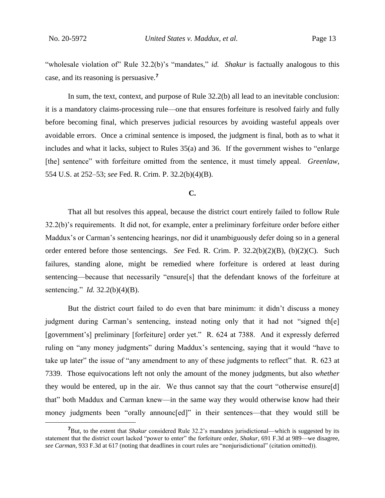"wholesale violation of" Rule 32.2(b)'s "mandates," *id.* Shakur is factually analogous to this case, and its reasoning is persuasive.**<sup>7</sup>**

In sum, the text, context, and purpose of Rule 32.2(b) all lead to an inevitable conclusion: it is a mandatory claims-processing rule—one that ensures forfeiture is resolved fairly and fully before becoming final, which preserves judicial resources by avoiding wasteful appeals over avoidable errors. Once a criminal sentence is imposed, the judgment is final, both as to what it includes and what it lacks, subject to Rules 35(a) and 36. If the government wishes to "enlarge [the] sentence" with forfeiture omitted from the sentence, it must timely appeal. *Greenlaw*, 554 U.S. at 252–53; *see* Fed. R. Crim. P. 32.2(b)(4)(B).

#### **C.**

That all but resolves this appeal, because the district court entirely failed to follow Rule 32.2(b)'s requirements. It did not, for example, enter a preliminary forfeiture order before either Maddux's or Carman's sentencing hearings, nor did it unambiguously defer doing so in a general order entered before those sentencings. *See* Fed. R. Crim. P. 32.2(b)(2)(B), (b)(2)(C). Such failures, standing alone, might be remedied where forfeiture is ordered at least during sentencing—because that necessarily "ensure[s] that the defendant knows of the forfeiture at sentencing." *Id.* 32.2(b)(4)(B).

But the district court failed to do even that bare minimum: it didn't discuss a money judgment during Carman's sentencing, instead noting only that it had not "signed th[e] [government's] preliminary [forfeiture] order yet." R. 624 at 7388. And it expressly deferred ruling on "any money judgments" during Maddux's sentencing, saying that it would "have to take up later" the issue of "any amendment to any of these judgments to reflect" that. R. 623 at 7339. Those equivocations left not only the amount of the money judgments, but also *whether*  they would be entered, up in the air. We thus cannot say that the court "otherwise ensure[d] that" both Maddux and Carman knew—in the same way they would otherwise know had their money judgments been "orally announc[ed]" in their sentences—that they would still be

**<sup>7</sup>**But, to the extent that *Shakur* considered Rule 32.2's mandates jurisdictional—which is suggested by its statement that the district court lacked "power to enter" the forfeiture order, *Shakur*, 691 F.3d at 989—we disagree, *see Carman*, 933 F.3d at 617 (noting that deadlines in court rules are "nonjurisdictional" (citation omitted)).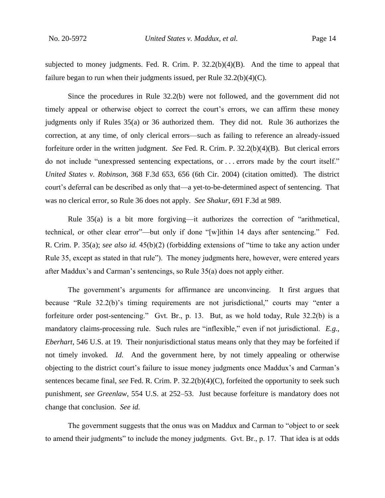subjected to money judgments. Fed. R. Crim. P. 32.2(b)(4)(B). And the time to appeal that failure began to run when their judgments issued, per Rule  $32.2(b)(4)(C)$ .

Since the procedures in Rule 32.2(b) were not followed, and the government did not timely appeal or otherwise object to correct the court's errors, we can affirm these money judgments only if Rules 35(a) or 36 authorized them. They did not. Rule 36 authorizes the correction, at any time, of only clerical errors—such as failing to reference an already-issued forfeiture order in the written judgment. *See* Fed. R. Crim. P. 32.2(b)(4)(B). But clerical errors do not include "unexpressed sentencing expectations, or . . . errors made by the court itself." *United States v. Robinson*, 368 F.3d 653, 656 (6th Cir. 2004) (citation omitted). The district court's deferral can be described as only that—a yet-to-be-determined aspect of sentencing. That was no clerical error, so Rule 36 does not apply. *See Shakur*, 691 F.3d at 989.

Rule 35(a) is a bit more forgiving—it authorizes the correction of "arithmetical, technical, or other clear error"—but only if done "[w]ithin 14 days after sentencing." Fed. R. Crim. P. 35(a); *see also id.* 45(b)(2) (forbidding extensions of "time to take any action under Rule 35, except as stated in that rule"). The money judgments here, however, were entered years after Maddux's and Carman's sentencings, so Rule 35(a) does not apply either.

The government's arguments for affirmance are unconvincing. It first argues that because "Rule 32.2(b)'s timing requirements are not jurisdictional," courts may "enter a forfeiture order post-sentencing." Gvt. Br., p. 13. But, as we hold today, Rule 32.2(b) is a mandatory claims-processing rule. Such rules are "inflexible," even if not jurisdictional. *E.g.*, *Eberhart*, 546 U.S. at 19. Their nonjurisdictional status means only that they may be forfeited if not timely invoked. *Id.* And the government here, by not timely appealing or otherwise objecting to the district court's failure to issue money judgments once Maddux's and Carman's sentences became final, *see* Fed. R. Crim. P. 32.2(b)(4)(C), forfeited the opportunity to seek such punishment, *see Greenlaw*, 554 U.S. at 252–53. Just because forfeiture is mandatory does not change that conclusion. *See id.*

The government suggests that the onus was on Maddux and Carman to "object to or seek to amend their judgments" to include the money judgments. Gvt. Br., p. 17. That idea is at odds